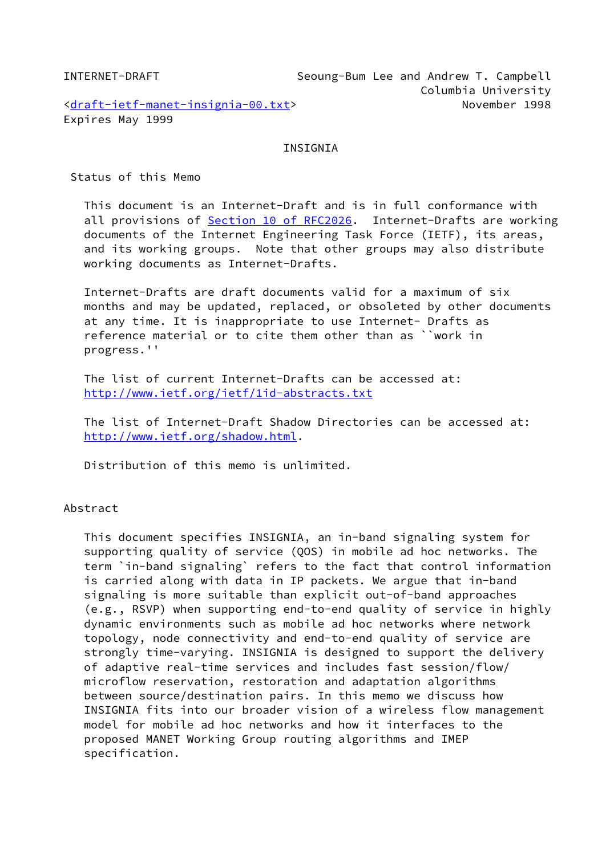INTERNET-DRAFT Seoung-Bum Lee and Andrew T. Campbell Columbia University [<draft-ietf-manet-insignia-00.txt](https://datatracker.ietf.org/doc/pdf/draft-ietf-manet-insignia-00.txt)> November 1998 Expires May 1999

#### INSIGNIA

Status of this Memo

 This document is an Internet-Draft and is in full conformance with all provisions of Section [10 of RFC2026.](https://datatracker.ietf.org/doc/pdf/rfc2026#section-10) Internet-Drafts are working documents of the Internet Engineering Task Force (IETF), its areas, and its working groups. Note that other groups may also distribute working documents as Internet-Drafts.

 Internet-Drafts are draft documents valid for a maximum of six months and may be updated, replaced, or obsoleted by other documents at any time. It is inappropriate to use Internet- Drafts as reference material or to cite them other than as ``work in progress.''

 The list of current Internet-Drafts can be accessed at: <http://www.ietf.org/ietf/1id-abstracts.txt>

 The list of Internet-Draft Shadow Directories can be accessed at: <http://www.ietf.org/shadow.html>.

Distribution of this memo is unlimited.

# Abstract

 This document specifies INSIGNIA, an in-band signaling system for supporting quality of service (QOS) in mobile ad hoc networks. The term `in-band signaling` refers to the fact that control information is carried along with data in IP packets. We argue that in-band signaling is more suitable than explicit out-of-band approaches (e.g., RSVP) when supporting end-to-end quality of service in highly dynamic environments such as mobile ad hoc networks where network topology, node connectivity and end-to-end quality of service are strongly time-varying. INSIGNIA is designed to support the delivery of adaptive real-time services and includes fast session/flow/ microflow reservation, restoration and adaptation algorithms between source/destination pairs. In this memo we discuss how INSIGNIA fits into our broader vision of a wireless flow management model for mobile ad hoc networks and how it interfaces to the proposed MANET Working Group routing algorithms and IMEP specification.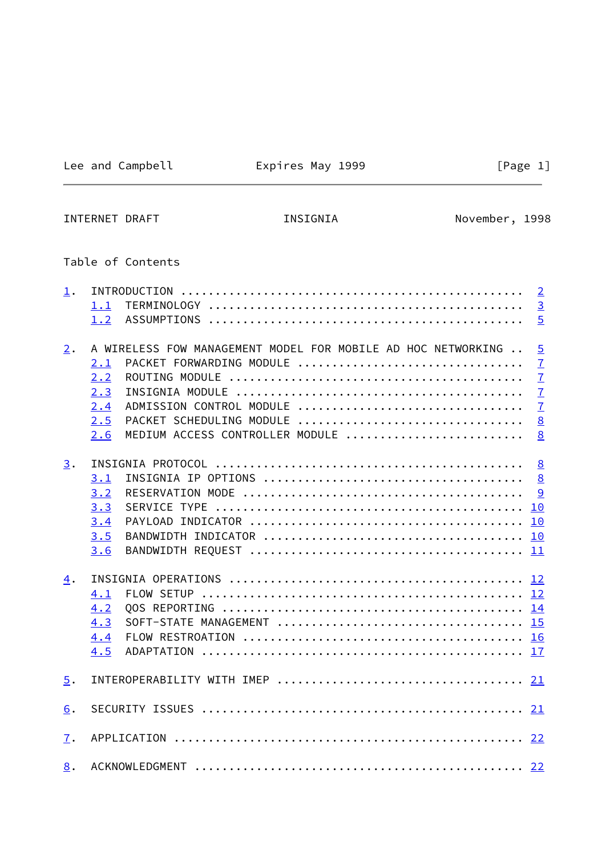# Lee and Campbell **Expires May 1999** [Page 1]

<span id="page-1-0"></span>INTERNET DRAFT **INSIGNIA** INSIGNIA November, 1998

# Table of Contents

| $\perp$ .        |                                                              | $\overline{2}$ |
|------------------|--------------------------------------------------------------|----------------|
|                  | 1.1                                                          | $\overline{3}$ |
|                  | 1.2                                                          | $\overline{5}$ |
| 2.               | A WIRELESS FOW MANAGEMENT MODEL FOR MOBILE AD HOC NETWORKING | $\overline{5}$ |
|                  | PACKET FORWARDING MODULE<br>2.1                              | $\overline{1}$ |
|                  | 2.2                                                          | $\overline{1}$ |
|                  | 2.3                                                          | $\overline{1}$ |
|                  | ADMISSION CONTROL MODULE<br>2.4                              | $\overline{1}$ |
|                  | PACKET SCHEDULING MODULE<br>2.5                              | 8              |
|                  | MEDIUM ACCESS CONTROLLER MODULE<br>2.6                       | 8              |
| 3.               |                                                              | 8              |
|                  | 3.1                                                          | 8              |
|                  | 3.2                                                          | 9              |
|                  | 3.3                                                          |                |
|                  | 3.4                                                          |                |
|                  | 3.5                                                          |                |
|                  | 3.6                                                          |                |
|                  |                                                              |                |
| 4.               |                                                              |                |
|                  | 4.1                                                          |                |
|                  | 4.2                                                          |                |
|                  | 4.3                                                          |                |
|                  | 4.4                                                          |                |
|                  | 4.5                                                          |                |
| $\overline{5}$ . |                                                              |                |
|                  |                                                              |                |
| 6.               |                                                              |                |
| 7.               |                                                              |                |
| 8.               |                                                              |                |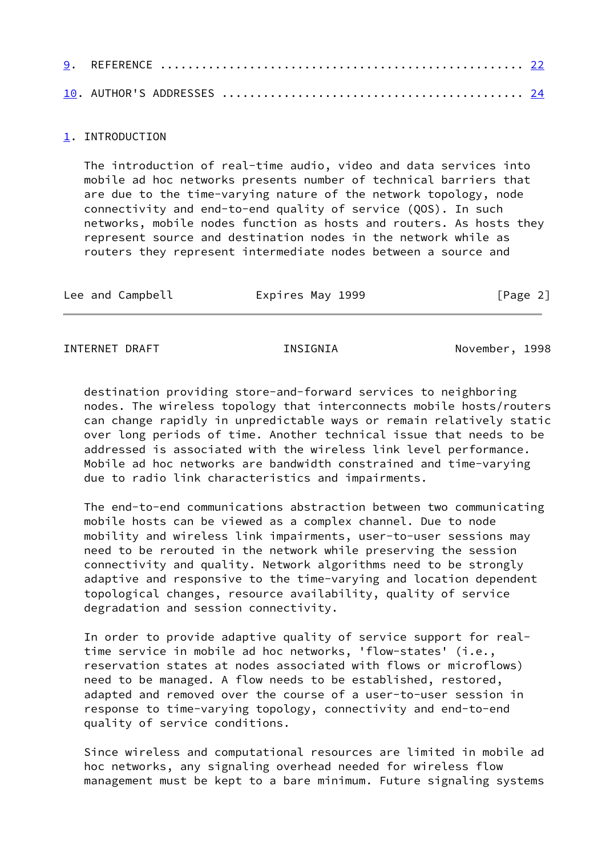### <span id="page-2-0"></span>[1](#page-2-0). INTRODUCTION

 The introduction of real-time audio, video and data services into mobile ad hoc networks presents number of technical barriers that are due to the time-varying nature of the network topology, node connectivity and end-to-end quality of service (QOS). In such networks, mobile nodes function as hosts and routers. As hosts they represent source and destination nodes in the network while as routers they represent intermediate nodes between a source and

| Lee and Campbell<br>Expires May 1999 | [Page 2] |
|--------------------------------------|----------|
|--------------------------------------|----------|

<span id="page-2-1"></span>INTERNET DRAFT THE INSIGNIA November, 1998

 destination providing store-and-forward services to neighboring nodes. The wireless topology that interconnects mobile hosts/routers can change rapidly in unpredictable ways or remain relatively static over long periods of time. Another technical issue that needs to be addressed is associated with the wireless link level performance. Mobile ad hoc networks are bandwidth constrained and time-varying due to radio link characteristics and impairments.

 The end-to-end communications abstraction between two communicating mobile hosts can be viewed as a complex channel. Due to node mobility and wireless link impairments, user-to-user sessions may need to be rerouted in the network while preserving the session connectivity and quality. Network algorithms need to be strongly adaptive and responsive to the time-varying and location dependent topological changes, resource availability, quality of service degradation and session connectivity.

 In order to provide adaptive quality of service support for real time service in mobile ad hoc networks, 'flow-states' (i.e., reservation states at nodes associated with flows or microflows) need to be managed. A flow needs to be established, restored, adapted and removed over the course of a user-to-user session in response to time-varying topology, connectivity and end-to-end quality of service conditions.

 Since wireless and computational resources are limited in mobile ad hoc networks, any signaling overhead needed for wireless flow management must be kept to a bare minimum. Future signaling systems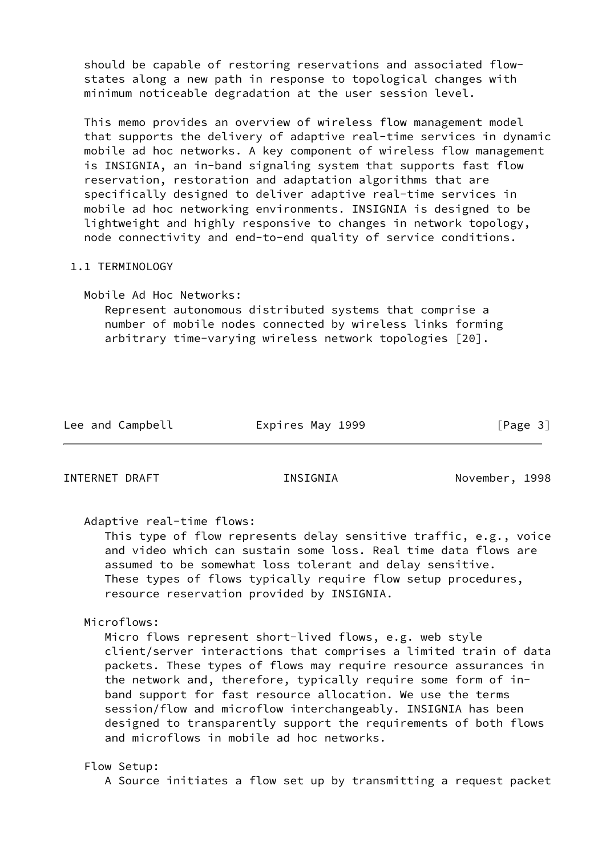should be capable of restoring reservations and associated flow states along a new path in response to topological changes with minimum noticeable degradation at the user session level.

 This memo provides an overview of wireless flow management model that supports the delivery of adaptive real-time services in dynamic mobile ad hoc networks. A key component of wireless flow management is INSIGNIA, an in-band signaling system that supports fast flow reservation, restoration and adaptation algorithms that are specifically designed to deliver adaptive real-time services in mobile ad hoc networking environments. INSIGNIA is designed to be lightweight and highly responsive to changes in network topology, node connectivity and end-to-end quality of service conditions.

# 1.1 TERMINOLOGY

 Mobile Ad Hoc Networks: Represent autonomous distributed systems that comprise a number of mobile nodes connected by wireless links forming arbitrary time-varying wireless network topologies [20].

| Lee and Campbell | Expires May 1999 | [Page 3] |
|------------------|------------------|----------|
|                  |                  |          |

INTERNET DRAFT INSIGNIA November, 1998

Adaptive real-time flows:

 This type of flow represents delay sensitive traffic, e.g., voice and video which can sustain some loss. Real time data flows are assumed to be somewhat loss tolerant and delay sensitive. These types of flows typically require flow setup procedures, resource reservation provided by INSIGNIA.

Microflows:

 Micro flows represent short-lived flows, e.g. web style client/server interactions that comprises a limited train of data packets. These types of flows may require resource assurances in the network and, therefore, typically require some form of in band support for fast resource allocation. We use the terms session/flow and microflow interchangeably. INSIGNIA has been designed to transparently support the requirements of both flows and microflows in mobile ad hoc networks.

# Flow Setup:

A Source initiates a flow set up by transmitting a request packet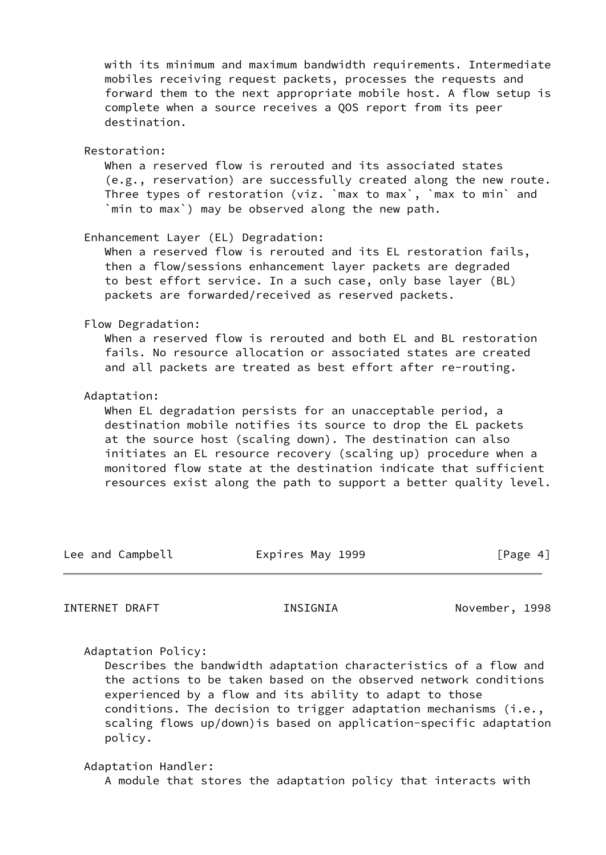with its minimum and maximum bandwidth requirements. Intermediate mobiles receiving request packets, processes the requests and forward them to the next appropriate mobile host. A flow setup is complete when a source receives a QOS report from its peer destination.

Restoration:

 When a reserved flow is rerouted and its associated states (e.g., reservation) are successfully created along the new route. Three types of restoration (viz. `max to max`, `max to min` and `min to max`) may be observed along the new path.

Enhancement Layer (EL) Degradation:

When a reserved flow is rerouted and its EL restoration fails, then a flow/sessions enhancement layer packets are degraded to best effort service. In a such case, only base layer (BL) packets are forwarded/received as reserved packets.

Flow Degradation:

 When a reserved flow is rerouted and both EL and BL restoration fails. No resource allocation or associated states are created and all packets are treated as best effort after re-routing.

Adaptation:

 When EL degradation persists for an unacceptable period, a destination mobile notifies its source to drop the EL packets at the source host (scaling down). The destination can also initiates an EL resource recovery (scaling up) procedure when a monitored flow state at the destination indicate that sufficient resources exist along the path to support a better quality level.

| Lee and Campbell<br>Expires May 1999 | [Page 4] |
|--------------------------------------|----------|
|--------------------------------------|----------|

<span id="page-4-0"></span>INTERNET DRAFT THE INSIGNIA November, 1998

Adaptation Policy:

 Describes the bandwidth adaptation characteristics of a flow and the actions to be taken based on the observed network conditions experienced by a flow and its ability to adapt to those conditions. The decision to trigger adaptation mechanisms (i.e., scaling flows up/down)is based on application-specific adaptation policy.

 Adaptation Handler: A module that stores the adaptation policy that interacts with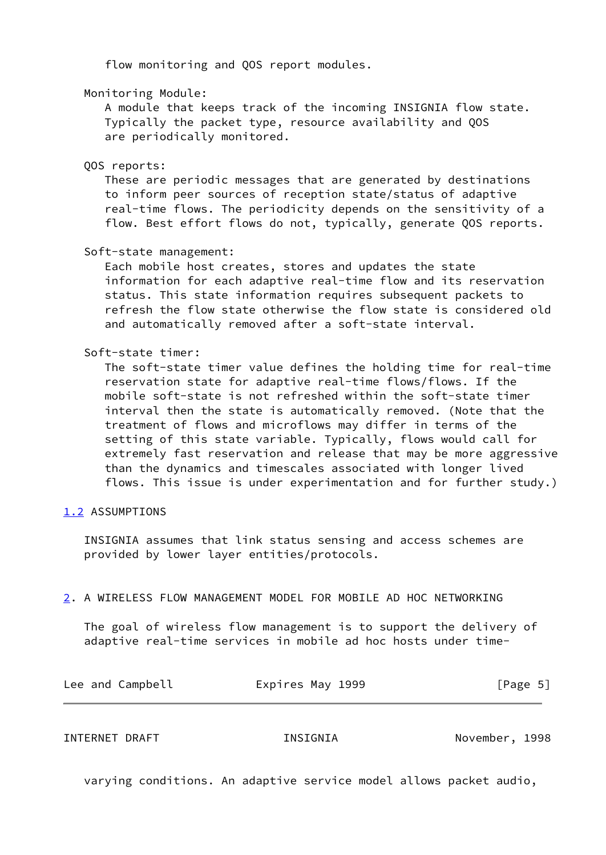flow monitoring and QOS report modules.

### Monitoring Module:

 A module that keeps track of the incoming INSIGNIA flow state. Typically the packet type, resource availability and QOS are periodically monitored.

#### QOS reports:

 These are periodic messages that are generated by destinations to inform peer sources of reception state/status of adaptive real-time flows. The periodicity depends on the sensitivity of a flow. Best effort flows do not, typically, generate QOS reports.

#### Soft-state management:

 Each mobile host creates, stores and updates the state information for each adaptive real-time flow and its reservation status. This state information requires subsequent packets to refresh the flow state otherwise the flow state is considered old and automatically removed after a soft-state interval.

# Soft-state timer:

 The soft-state timer value defines the holding time for real-time reservation state for adaptive real-time flows/flows. If the mobile soft-state is not refreshed within the soft-state timer interval then the state is automatically removed. (Note that the treatment of flows and microflows may differ in terms of the setting of this state variable. Typically, flows would call for extremely fast reservation and release that may be more aggressive than the dynamics and timescales associated with longer lived flows. This issue is under experimentation and for further study.)

# <span id="page-5-0"></span>[1.2](#page-5-0) ASSUMPTIONS

 INSIGNIA assumes that link status sensing and access schemes are provided by lower layer entities/protocols.

# <span id="page-5-1"></span>[2](#page-5-1). A WIRELESS FLOW MANAGEMENT MODEL FOR MOBILE AD HOC NETWORKING

 The goal of wireless flow management is to support the delivery of adaptive real-time services in mobile ad hoc hosts under time-

| Lee and Campbell | Expires May 1999 | [Page 5] |
|------------------|------------------|----------|
|------------------|------------------|----------|

INTERNET DRAFT INSIGNIA November, 1998

varying conditions. An adaptive service model allows packet audio,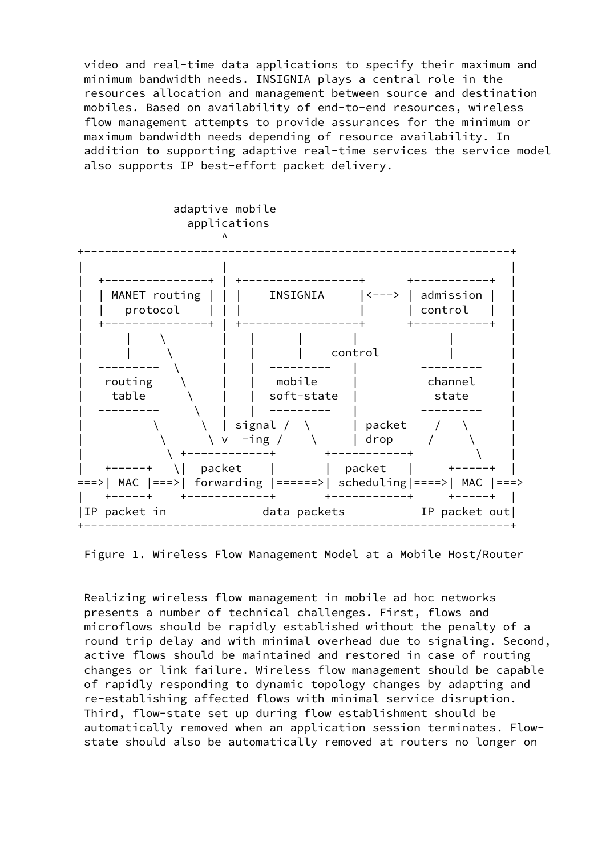video and real-time data applications to specify their maximum and minimum bandwidth needs. INSIGNIA plays a central role in the resources allocation and management between source and destination mobiles. Based on availability of end-to-end resources, wireless flow management attempts to provide assurances for the minimum or maximum bandwidth needs depending of resource availability. In addition to supporting adaptive real-time services the service model also supports IP best-effort packet delivery.



Figure 1. Wireless Flow Management Model at a Mobile Host/Router

 Realizing wireless flow management in mobile ad hoc networks presents a number of technical challenges. First, flows and microflows should be rapidly established without the penalty of a round trip delay and with minimal overhead due to signaling. Second, active flows should be maintained and restored in case of routing changes or link failure. Wireless flow management should be capable of rapidly responding to dynamic topology changes by adapting and re-establishing affected flows with minimal service disruption. Third, flow-state set up during flow establishment should be automatically removed when an application session terminates. Flow state should also be automatically removed at routers no longer on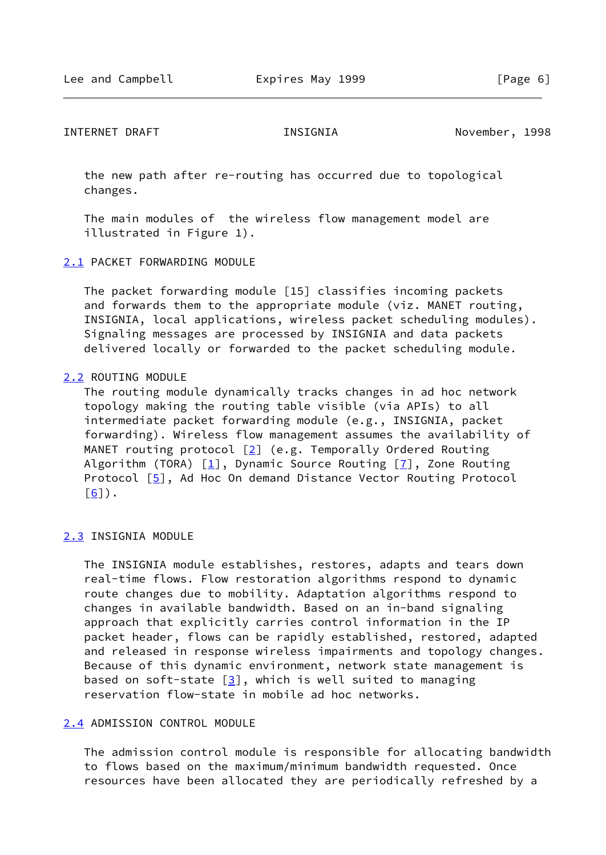<span id="page-7-1"></span> the new path after re-routing has occurred due to topological changes.

 The main modules of the wireless flow management model are illustrated in Figure 1).

### <span id="page-7-0"></span>[2.1](#page-7-0) PACKET FORWARDING MODULE

 The packet forwarding module [15] classifies incoming packets and forwards them to the appropriate module (viz. MANET routing, INSIGNIA, local applications, wireless packet scheduling modules). Signaling messages are processed by INSIGNIA and data packets delivered locally or forwarded to the packet scheduling module.

#### <span id="page-7-2"></span>[2.2](#page-7-2) ROUTING MODULE

 The routing module dynamically tracks changes in ad hoc network topology making the routing table visible (via APIs) to all intermediate packet forwarding module (e.g., INSIGNIA, packet forwarding). Wireless flow management assumes the availability of MANET routing protocol  $[2]$  $[2]$  (e.g. Temporally Ordered Routing Algorithm (TORA)  $[1]$ , Dynamic Source Routing  $[7]$ , Zone Routing Protocol [\[5\]](#page-22-0), Ad Hoc On demand Distance Vector Routing Protocol  $\lceil 6 \rceil$ ).

### <span id="page-7-3"></span>[2.3](#page-7-3) INSIGNIA MODULE

 The INSIGNIA module establishes, restores, adapts and tears down real-time flows. Flow restoration algorithms respond to dynamic route changes due to mobility. Adaptation algorithms respond to changes in available bandwidth. Based on an in-band signaling approach that explicitly carries control information in the IP packet header, flows can be rapidly established, restored, adapted and released in response wireless impairments and topology changes. Because of this dynamic environment, network state management is based on soft-state  $[3]$  $[3]$ , which is well suited to managing reservation flow-state in mobile ad hoc networks.

### <span id="page-7-4"></span>[2.4](#page-7-4) ADMISSION CONTROL MODULE

 The admission control module is responsible for allocating bandwidth to flows based on the maximum/minimum bandwidth requested. Once resources have been allocated they are periodically refreshed by a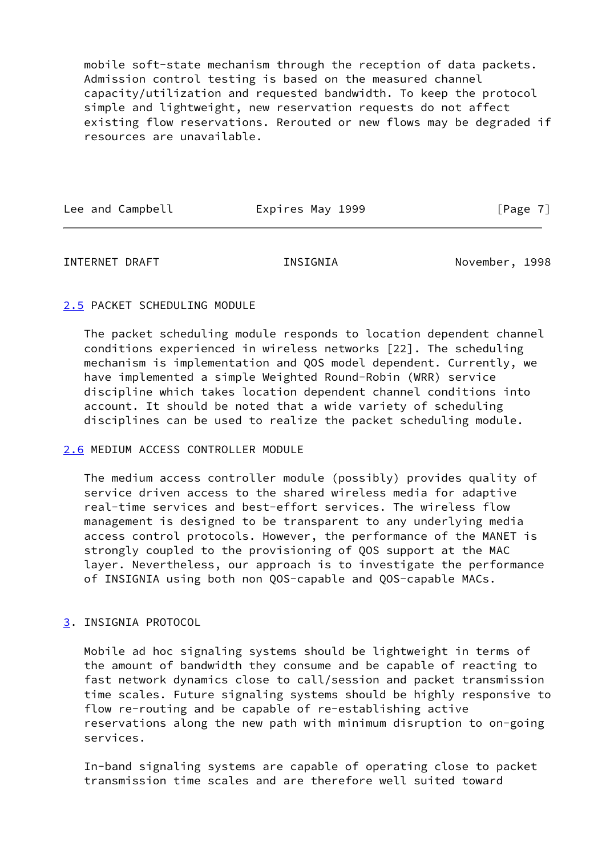mobile soft-state mechanism through the reception of data packets. Admission control testing is based on the measured channel capacity/utilization and requested bandwidth. To keep the protocol simple and lightweight, new reservation requests do not affect existing flow reservations. Rerouted or new flows may be degraded if resources are unavailable.

Lee and Campbell **Expires May 1999** [Page 7]

<span id="page-8-1"></span>INTERNET DRAFT THE INSIGNIA November, 1998

# <span id="page-8-0"></span>[2.5](#page-8-0) PACKET SCHEDULING MODULE

 The packet scheduling module responds to location dependent channel conditions experienced in wireless networks [22]. The scheduling mechanism is implementation and QOS model dependent. Currently, we have implemented a simple Weighted Round-Robin (WRR) service discipline which takes location dependent channel conditions into account. It should be noted that a wide variety of scheduling disciplines can be used to realize the packet scheduling module.

# <span id="page-8-2"></span>[2.6](#page-8-2) MEDIUM ACCESS CONTROLLER MODULE

 The medium access controller module (possibly) provides quality of service driven access to the shared wireless media for adaptive real-time services and best-effort services. The wireless flow management is designed to be transparent to any underlying media access control protocols. However, the performance of the MANET is strongly coupled to the provisioning of QOS support at the MAC layer. Nevertheless, our approach is to investigate the performance of INSIGNIA using both non QOS-capable and QOS-capable MACs.

# <span id="page-8-3"></span>[3](#page-8-3). INSIGNIA PROTOCOL

 Mobile ad hoc signaling systems should be lightweight in terms of the amount of bandwidth they consume and be capable of reacting to fast network dynamics close to call/session and packet transmission time scales. Future signaling systems should be highly responsive to flow re-routing and be capable of re-establishing active reservations along the new path with minimum disruption to on-going services.

 In-band signaling systems are capable of operating close to packet transmission time scales and are therefore well suited toward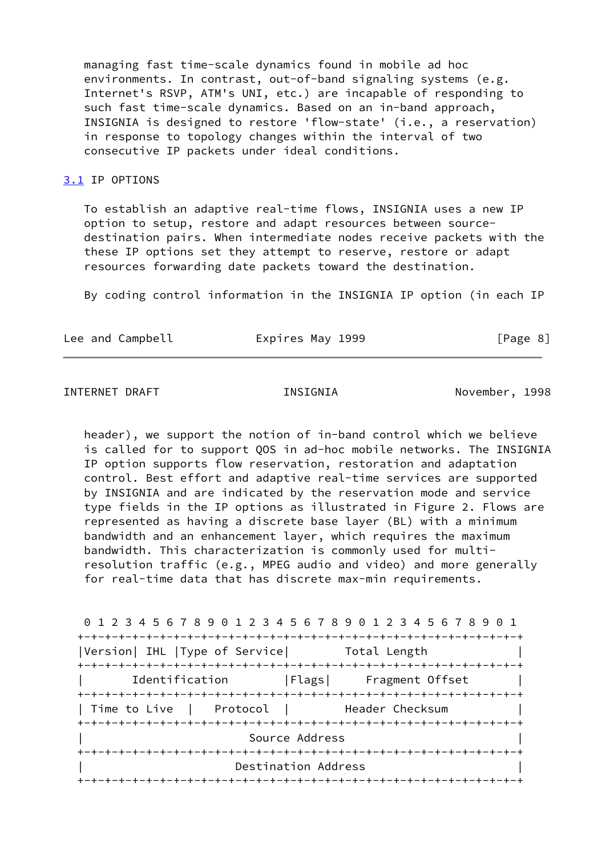managing fast time-scale dynamics found in mobile ad hoc environments. In contrast, out-of-band signaling systems (e.g. Internet's RSVP, ATM's UNI, etc.) are incapable of responding to such fast time-scale dynamics. Based on an in-band approach, INSIGNIA is designed to restore 'flow-state' (i.e., a reservation) in response to topology changes within the interval of two consecutive IP packets under ideal conditions.

#### <span id="page-9-0"></span>[3.1](#page-9-0) IP OPTIONS

 To establish an adaptive real-time flows, INSIGNIA uses a new IP option to setup, restore and adapt resources between source destination pairs. When intermediate nodes receive packets with the these IP options set they attempt to reserve, restore or adapt resources forwarding date packets toward the destination.

By coding control information in the INSIGNIA IP option (in each IP

| Lee and Campbell<br>Expires May 1999 | [Page 8] |
|--------------------------------------|----------|
|--------------------------------------|----------|

## <span id="page-9-1"></span>INTERNET DRAFT INSIGNIA November, 1998

 header), we support the notion of in-band control which we believe is called for to support QOS in ad-hoc mobile networks. The INSIGNIA IP option supports flow reservation, restoration and adaptation control. Best effort and adaptive real-time services are supported by INSIGNIA and are indicated by the reservation mode and service type fields in the IP options as illustrated in Figure 2. Flows are represented as having a discrete base layer (BL) with a minimum bandwidth and an enhancement layer, which requires the maximum bandwidth. This characterization is commonly used for multi resolution traffic (e.g., MPEG audio and video) and more generally for real-time data that has discrete max-min requirements.

| 0 1 2 3 4 5 6 7 8 9 0 1 2 3 4 5 6 7 8 9 0 1 2 3 4 5 6 7 8 9 |
|-------------------------------------------------------------|
|                                                             |
| Version  IHL  Type of Service  Total Length                 |
|                                                             |
| Identification   Flags  Fragment Offset                     |
|                                                             |
| Time to Live   Protocol         Header Checksum             |
|                                                             |
| Source Address                                              |
|                                                             |
| Destination Address                                         |
|                                                             |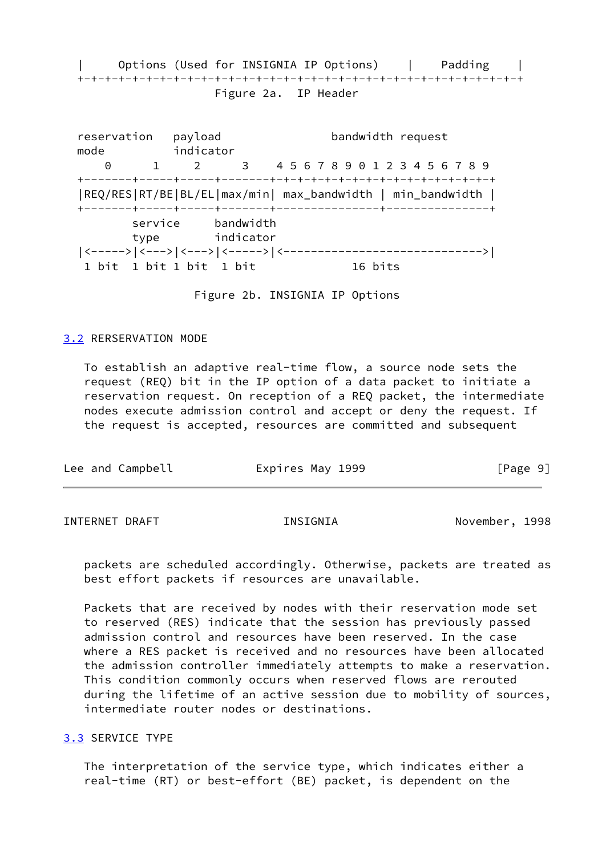Options (Used for INSIGNIA IP Options) | Padding | +-+-+-+-+-+-+-+-+-+-+-+-+-+-+-+-+-+-+-+-+-+-+-+-+-+-+-+-+-+-+-+-+ Figure 2a. IP Header

reservation payload bandwidth request mode indicator 0 1 2 3 4 5 6 7 8 9 0 1 2 3 4 5 6 7 8 9 +-------+-----+-----+-------+-+-+-+-+-+-+-+-+-+-+-+-+-+-+-+-+ |REQ/RES|RT/BE|BL/EL|max/min| max\_bandwidth | min\_bandwidth | +-------+-----+-----+-------+---------------+---------------+ service bandwidth type indicator |<----->|<--->|<--->|<----->|<----------------------------->| 1 bit 1 bit 1 bit 1 bit 1 bit 16 bits

Figure 2b. INSIGNIA IP Options

#### <span id="page-10-0"></span>[3.2](#page-10-0) RERSERVATION MODE

 To establish an adaptive real-time flow, a source node sets the request (REQ) bit in the IP option of a data packet to initiate a reservation request. On reception of a REQ packet, the intermediate nodes execute admission control and accept or deny the request. If the request is accepted, resources are committed and subsequent

| Lee and Campbell | Expires May 1999 | [Page 9] |
|------------------|------------------|----------|
|                  |                  |          |

<span id="page-10-2"></span>INTERNET DRAFT INSIGNIA November, 1998

 packets are scheduled accordingly. Otherwise, packets are treated as best effort packets if resources are unavailable.

 Packets that are received by nodes with their reservation mode set to reserved (RES) indicate that the session has previously passed admission control and resources have been reserved. In the case where a RES packet is received and no resources have been allocated the admission controller immediately attempts to make a reservation. This condition commonly occurs when reserved flows are rerouted during the lifetime of an active session due to mobility of sources, intermediate router nodes or destinations.

#### <span id="page-10-1"></span>[3.3](#page-10-1) SERVICE TYPE

 The interpretation of the service type, which indicates either a real-time (RT) or best-effort (BE) packet, is dependent on the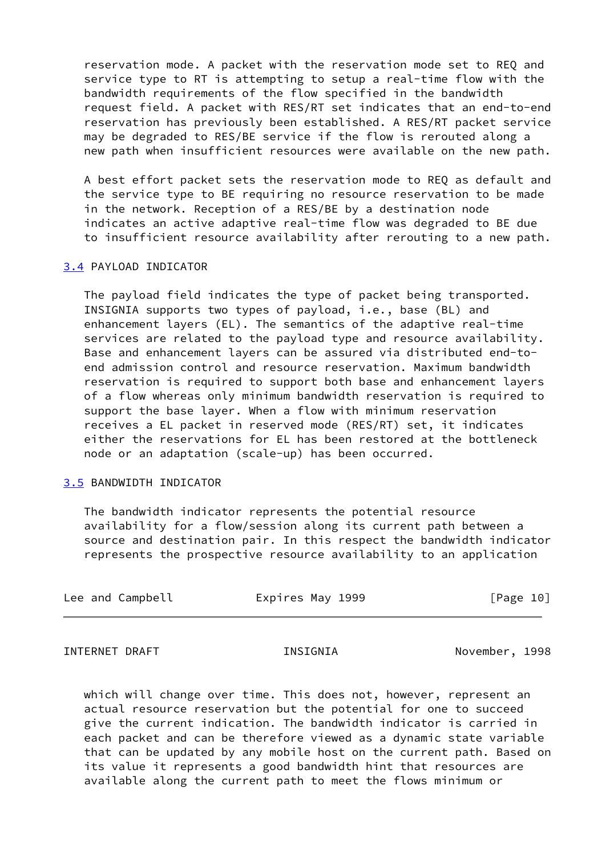reservation mode. A packet with the reservation mode set to REQ and service type to RT is attempting to setup a real-time flow with the bandwidth requirements of the flow specified in the bandwidth request field. A packet with RES/RT set indicates that an end-to-end reservation has previously been established. A RES/RT packet service may be degraded to RES/BE service if the flow is rerouted along a new path when insufficient resources were available on the new path.

 A best effort packet sets the reservation mode to REQ as default and the service type to BE requiring no resource reservation to be made in the network. Reception of a RES/BE by a destination node indicates an active adaptive real-time flow was degraded to BE due to insufficient resource availability after rerouting to a new path.

#### <span id="page-11-0"></span>[3.4](#page-11-0) PAYLOAD INDICATOR

 The payload field indicates the type of packet being transported. INSIGNIA supports two types of payload, i.e., base (BL) and enhancement layers (EL). The semantics of the adaptive real-time services are related to the payload type and resource availability. Base and enhancement layers can be assured via distributed end-to end admission control and resource reservation. Maximum bandwidth reservation is required to support both base and enhancement layers of a flow whereas only minimum bandwidth reservation is required to support the base layer. When a flow with minimum reservation receives a EL packet in reserved mode (RES/RT) set, it indicates either the reservations for EL has been restored at the bottleneck node or an adaptation (scale-up) has been occurred.

#### <span id="page-11-1"></span>[3.5](#page-11-1) BANDWIDTH INDICATOR

 The bandwidth indicator represents the potential resource availability for a flow/session along its current path between a source and destination pair. In this respect the bandwidth indicator represents the prospective resource availability to an application

| Lee and Campbell | Expires May 1999 | [Page 10] |
|------------------|------------------|-----------|
|------------------|------------------|-----------|

<span id="page-11-2"></span>INTERNET DRAFT THE INSIGNIA November, 1998

 which will change over time. This does not, however, represent an actual resource reservation but the potential for one to succeed give the current indication. The bandwidth indicator is carried in each packet and can be therefore viewed as a dynamic state variable that can be updated by any mobile host on the current path. Based on its value it represents a good bandwidth hint that resources are available along the current path to meet the flows minimum or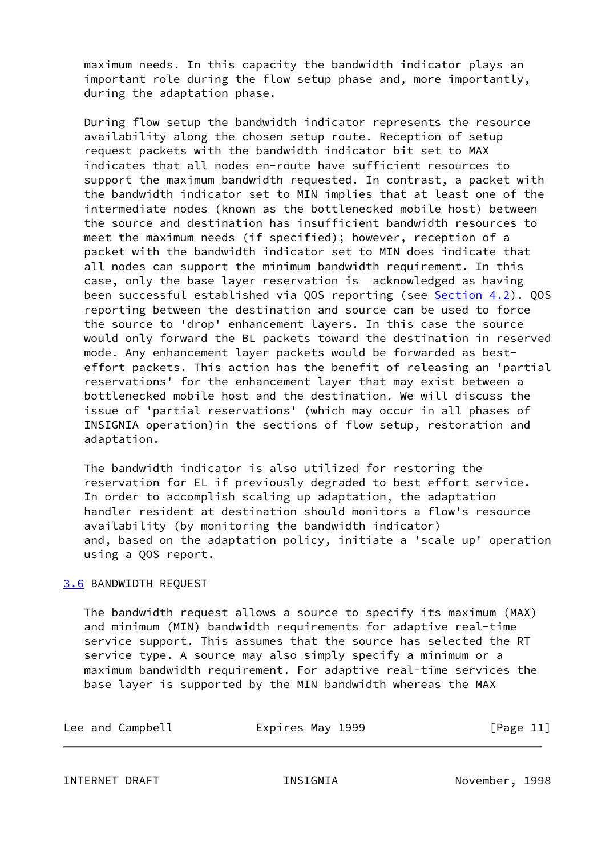maximum needs. In this capacity the bandwidth indicator plays an important role during the flow setup phase and, more importantly, during the adaptation phase.

 During flow setup the bandwidth indicator represents the resource availability along the chosen setup route. Reception of setup request packets with the bandwidth indicator bit set to MAX indicates that all nodes en-route have sufficient resources to support the maximum bandwidth requested. In contrast, a packet with the bandwidth indicator set to MIN implies that at least one of the intermediate nodes (known as the bottlenecked mobile host) between the source and destination has insufficient bandwidth resources to meet the maximum needs (if specified); however, reception of a packet with the bandwidth indicator set to MIN does indicate that all nodes can support the minimum bandwidth requirement. In this case, only the base layer reservation is acknowledged as having been successful established via QOS reporting (see [Section 4.2](#page-15-0)). QOS reporting between the destination and source can be used to force the source to 'drop' enhancement layers. In this case the source would only forward the BL packets toward the destination in reserved mode. Any enhancement layer packets would be forwarded as best effort packets. This action has the benefit of releasing an 'partial reservations' for the enhancement layer that may exist between a bottlenecked mobile host and the destination. We will discuss the issue of 'partial reservations' (which may occur in all phases of INSIGNIA operation)in the sections of flow setup, restoration and adaptation.

 The bandwidth indicator is also utilized for restoring the reservation for EL if previously degraded to best effort service. In order to accomplish scaling up adaptation, the adaptation handler resident at destination should monitors a flow's resource availability (by monitoring the bandwidth indicator) and, based on the adaptation policy, initiate a 'scale up' operation using a QOS report.

# <span id="page-12-0"></span>[3.6](#page-12-0) BANDWIDTH REQUEST

 The bandwidth request allows a source to specify its maximum (MAX) and minimum (MIN) bandwidth requirements for adaptive real-time service support. This assumes that the source has selected the RT service type. A source may also simply specify a minimum or a maximum bandwidth requirement. For adaptive real-time services the base layer is supported by the MIN bandwidth whereas the MAX

<span id="page-12-1"></span>

| Lee and Campbell | Expires May 1999 | [Page 11] |
|------------------|------------------|-----------|
|                  |                  |           |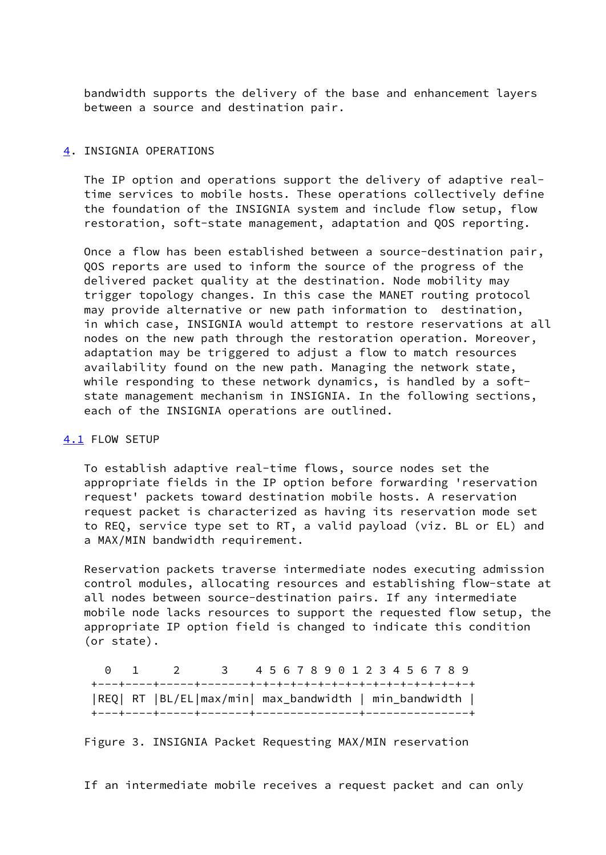bandwidth supports the delivery of the base and enhancement layers between a source and destination pair.

#### <span id="page-13-0"></span>[4](#page-13-0). INSIGNIA OPERATIONS

 The IP option and operations support the delivery of adaptive real time services to mobile hosts. These operations collectively define the foundation of the INSIGNIA system and include flow setup, flow restoration, soft-state management, adaptation and QOS reporting.

 Once a flow has been established between a source-destination pair, QOS reports are used to inform the source of the progress of the delivered packet quality at the destination. Node mobility may trigger topology changes. In this case the MANET routing protocol may provide alternative or new path information to destination, in which case, INSIGNIA would attempt to restore reservations at all nodes on the new path through the restoration operation. Moreover, adaptation may be triggered to adjust a flow to match resources availability found on the new path. Managing the network state, while responding to these network dynamics, is handled by a soft state management mechanism in INSIGNIA. In the following sections, each of the INSIGNIA operations are outlined.

### <span id="page-13-1"></span>[4.1](#page-13-1) FLOW SETUP

 To establish adaptive real-time flows, source nodes set the appropriate fields in the IP option before forwarding 'reservation request' packets toward destination mobile hosts. A reservation request packet is characterized as having its reservation mode set to REQ, service type set to RT, a valid payload (viz. BL or EL) and a MAX/MIN bandwidth requirement.

 Reservation packets traverse intermediate nodes executing admission control modules, allocating resources and establishing flow-state at all nodes between source-destination pairs. If any intermediate mobile node lacks resources to support the requested flow setup, the appropriate IP option field is changed to indicate this condition (or state).

|  | $\begin{matrix} 0 & 1 & 2 \end{matrix}$               | 3 4567890123456789 |  |  |  |  |  |  |  |  |
|--|-------------------------------------------------------|--------------------|--|--|--|--|--|--|--|--|
|  |                                                       |                    |  |  |  |  |  |  |  |  |
|  | REQ  RT  BL/EL max/min  max_bandwidth   min_bandwidth |                    |  |  |  |  |  |  |  |  |
|  |                                                       |                    |  |  |  |  |  |  |  |  |

Figure 3. INSIGNIA Packet Requesting MAX/MIN reservation

If an intermediate mobile receives a request packet and can only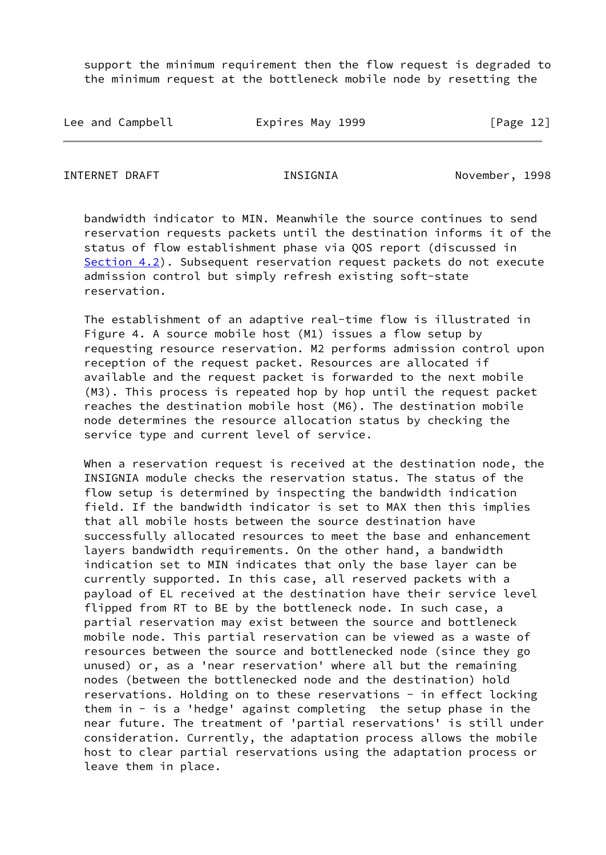support the minimum requirement then the flow request is degraded to the minimum request at the bottleneck mobile node by resetting the

| Lee and Campbell | Expires May 1999 | [Page 12] |
|------------------|------------------|-----------|
|------------------|------------------|-----------|

INTERNET DRAFT INSIGNIA November, 1998

 bandwidth indicator to MIN. Meanwhile the source continues to send reservation requests packets until the destination informs it of the status of flow establishment phase via QOS report (discussed in [Section 4.2](#page-15-0)). Subsequent reservation request packets do not execute admission control but simply refresh existing soft-state reservation.

 The establishment of an adaptive real-time flow is illustrated in Figure 4. A source mobile host (M1) issues a flow setup by requesting resource reservation. M2 performs admission control upon reception of the request packet. Resources are allocated if available and the request packet is forwarded to the next mobile (M3). This process is repeated hop by hop until the request packet reaches the destination mobile host (M6). The destination mobile node determines the resource allocation status by checking the service type and current level of service.

 When a reservation request is received at the destination node, the INSIGNIA module checks the reservation status. The status of the flow setup is determined by inspecting the bandwidth indication field. If the bandwidth indicator is set to MAX then this implies that all mobile hosts between the source destination have successfully allocated resources to meet the base and enhancement layers bandwidth requirements. On the other hand, a bandwidth indication set to MIN indicates that only the base layer can be currently supported. In this case, all reserved packets with a payload of EL received at the destination have their service level flipped from RT to BE by the bottleneck node. In such case, a partial reservation may exist between the source and bottleneck mobile node. This partial reservation can be viewed as a waste of resources between the source and bottlenecked node (since they go unused) or, as a 'near reservation' where all but the remaining nodes (between the bottlenecked node and the destination) hold reservations. Holding on to these reservations - in effect locking them in  $-$  is a 'hedge' against completing the setup phase in the near future. The treatment of 'partial reservations' is still under consideration. Currently, the adaptation process allows the mobile host to clear partial reservations using the adaptation process or leave them in place.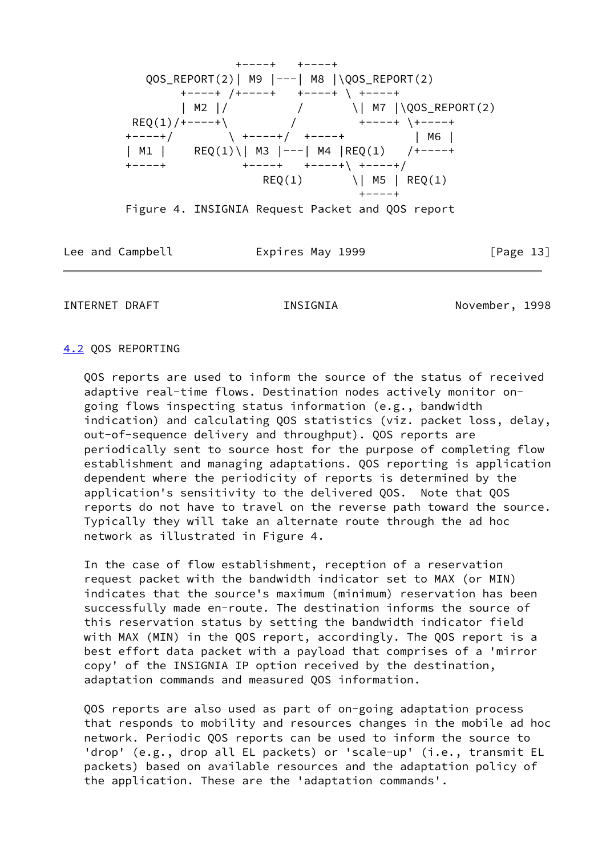

Figure 4. INSIGNIA Request Packet and QOS report

Lee and Campbell **Expires May 1999** [Page 13]

<span id="page-15-1"></span>INTERNET DRAFT **INSIGNIA** INSIGNIA November, 1998

# <span id="page-15-0"></span>[4.2](#page-15-0) QOS REPORTING

 QOS reports are used to inform the source of the status of received adaptive real-time flows. Destination nodes actively monitor on going flows inspecting status information (e.g., bandwidth indication) and calculating QOS statistics (viz. packet loss, delay, out-of-sequence delivery and throughput). QOS reports are periodically sent to source host for the purpose of completing flow establishment and managing adaptations. QOS reporting is application dependent where the periodicity of reports is determined by the application's sensitivity to the delivered QOS. Note that QOS reports do not have to travel on the reverse path toward the source. Typically they will take an alternate route through the ad hoc network as illustrated in Figure 4.

 In the case of flow establishment, reception of a reservation request packet with the bandwidth indicator set to MAX (or MIN) indicates that the source's maximum (minimum) reservation has been successfully made en-route. The destination informs the source of this reservation status by setting the bandwidth indicator field with MAX (MIN) in the QOS report, accordingly. The QOS report is a best effort data packet with a payload that comprises of a 'mirror copy' of the INSIGNIA IP option received by the destination, adaptation commands and measured QOS information.

 QOS reports are also used as part of on-going adaptation process that responds to mobility and resources changes in the mobile ad hoc network. Periodic QOS reports can be used to inform the source to 'drop' (e.g., drop all EL packets) or 'scale-up' (i.e., transmit EL packets) based on available resources and the adaptation policy of the application. These are the 'adaptation commands'.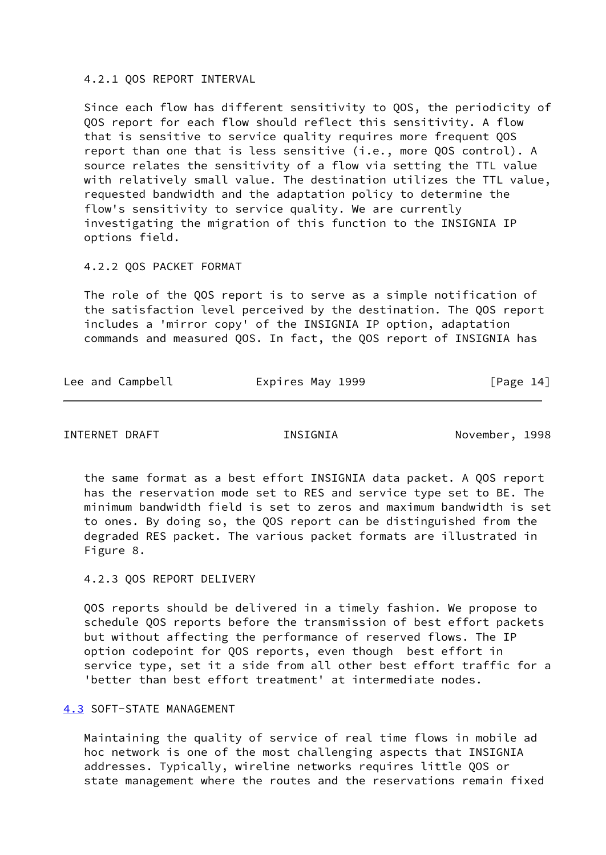#### 4.2.1 QOS REPORT INTERVAL

 Since each flow has different sensitivity to QOS, the periodicity of QOS report for each flow should reflect this sensitivity. A flow that is sensitive to service quality requires more frequent QOS report than one that is less sensitive (i.e., more QOS control). A source relates the sensitivity of a flow via setting the TTL value with relatively small value. The destination utilizes the TTL value, requested bandwidth and the adaptation policy to determine the flow's sensitivity to service quality. We are currently investigating the migration of this function to the INSIGNIA IP options field.

#### 4.2.2 QOS PACKET FORMAT

 The role of the QOS report is to serve as a simple notification of the satisfaction level perceived by the destination. The QOS report includes a 'mirror copy' of the INSIGNIA IP option, adaptation commands and measured QOS. In fact, the QOS report of INSIGNIA has

| Lee and Campbell<br>Expires May 1999 | [Page 14] |
|--------------------------------------|-----------|
|--------------------------------------|-----------|

<span id="page-16-1"></span>INTERNET DRAFT INSIGNIA November, 1998

 the same format as a best effort INSIGNIA data packet. A QOS report has the reservation mode set to RES and service type set to BE. The minimum bandwidth field is set to zeros and maximum bandwidth is set to ones. By doing so, the QOS report can be distinguished from the degraded RES packet. The various packet formats are illustrated in Figure 8.

### 4.2.3 QOS REPORT DELIVERY

 QOS reports should be delivered in a timely fashion. We propose to schedule QOS reports before the transmission of best effort packets but without affecting the performance of reserved flows. The IP option codepoint for QOS reports, even though best effort in service type, set it a side from all other best effort traffic for a 'better than best effort treatment' at intermediate nodes.

# <span id="page-16-0"></span>[4.3](#page-16-0) SOFT-STATE MANAGEMENT

 Maintaining the quality of service of real time flows in mobile ad hoc network is one of the most challenging aspects that INSIGNIA addresses. Typically, wireline networks requires little QOS or state management where the routes and the reservations remain fixed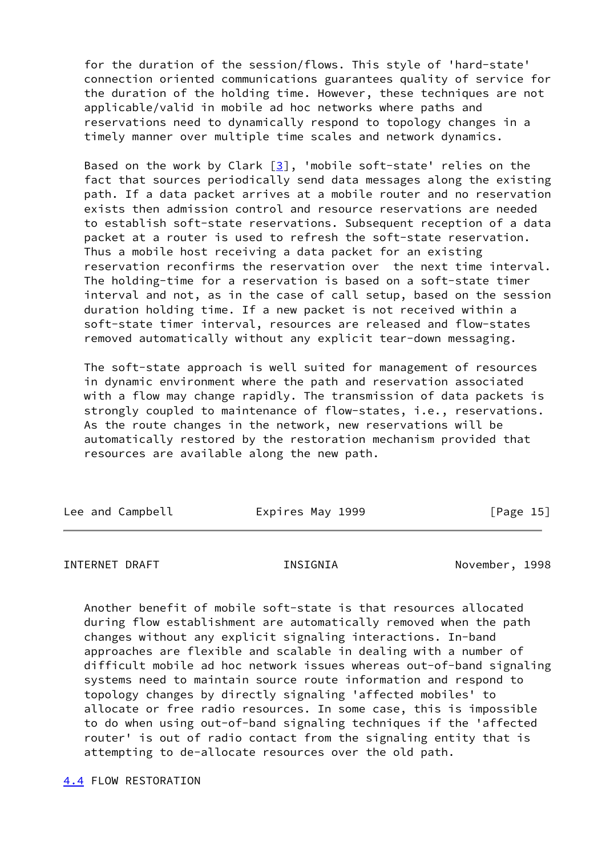for the duration of the session/flows. This style of 'hard-state' connection oriented communications guarantees quality of service for the duration of the holding time. However, these techniques are not applicable/valid in mobile ad hoc networks where paths and reservations need to dynamically respond to topology changes in a timely manner over multiple time scales and network dynamics.

Based on the work by Clark  $[3]$  $[3]$ , 'mobile soft-state' relies on the fact that sources periodically send data messages along the existing path. If a data packet arrives at a mobile router and no reservation exists then admission control and resource reservations are needed to establish soft-state reservations. Subsequent reception of a data packet at a router is used to refresh the soft-state reservation. Thus a mobile host receiving a data packet for an existing reservation reconfirms the reservation over the next time interval. The holding-time for a reservation is based on a soft-state timer interval and not, as in the case of call setup, based on the session duration holding time. If a new packet is not received within a soft-state timer interval, resources are released and flow-states removed automatically without any explicit tear-down messaging.

 The soft-state approach is well suited for management of resources in dynamic environment where the path and reservation associated with a flow may change rapidly. The transmission of data packets is strongly coupled to maintenance of flow-states, i.e., reservations. As the route changes in the network, new reservations will be automatically restored by the restoration mechanism provided that resources are available along the new path.

| Lee and Campbell | Expires May 1999 | [Page 15] |
|------------------|------------------|-----------|
|                  |                  |           |

<span id="page-17-1"></span>INTERNET DRAFT THE INSIGNIA November, 1998

 Another benefit of mobile soft-state is that resources allocated during flow establishment are automatically removed when the path changes without any explicit signaling interactions. In-band approaches are flexible and scalable in dealing with a number of difficult mobile ad hoc network issues whereas out-of-band signaling systems need to maintain source route information and respond to topology changes by directly signaling 'affected mobiles' to allocate or free radio resources. In some case, this is impossible to do when using out-of-band signaling techniques if the 'affected router' is out of radio contact from the signaling entity that is attempting to de-allocate resources over the old path.

<span id="page-17-0"></span>[4.4](#page-17-0) FLOW RESTORATION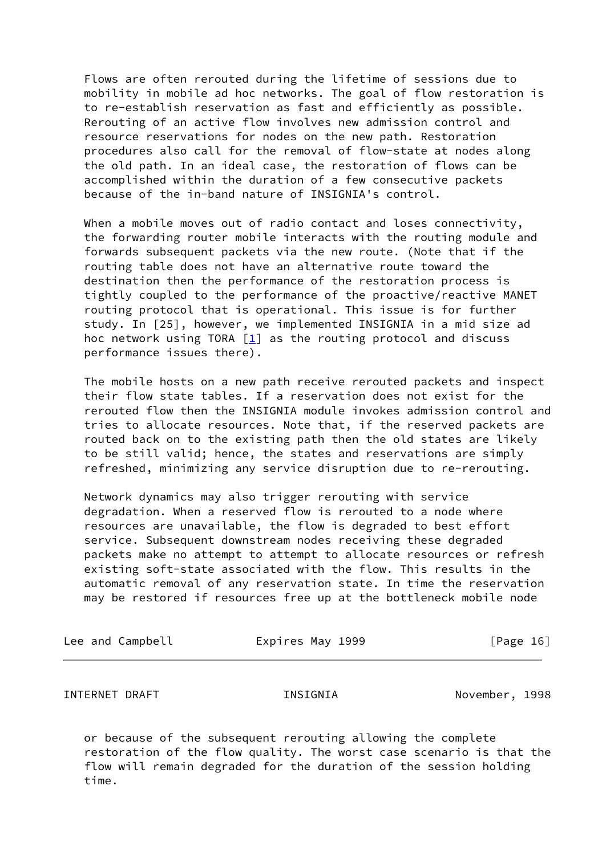Flows are often rerouted during the lifetime of sessions due to mobility in mobile ad hoc networks. The goal of flow restoration is to re-establish reservation as fast and efficiently as possible. Rerouting of an active flow involves new admission control and resource reservations for nodes on the new path. Restoration procedures also call for the removal of flow-state at nodes along the old path. In an ideal case, the restoration of flows can be accomplished within the duration of a few consecutive packets because of the in-band nature of INSIGNIA's control.

When a mobile moves out of radio contact and loses connectivity, the forwarding router mobile interacts with the routing module and forwards subsequent packets via the new route. (Note that if the routing table does not have an alternative route toward the destination then the performance of the restoration process is tightly coupled to the performance of the proactive/reactive MANET routing protocol that is operational. This issue is for further study. In [25], however, we implemented INSIGNIA in a mid size ad hoc network using TORA [\[1](#page-21-1)] as the routing protocol and discuss performance issues there).

 The mobile hosts on a new path receive rerouted packets and inspect their flow state tables. If a reservation does not exist for the rerouted flow then the INSIGNIA module invokes admission control and tries to allocate resources. Note that, if the reserved packets are routed back on to the existing path then the old states are likely to be still valid; hence, the states and reservations are simply refreshed, minimizing any service disruption due to re-rerouting.

 Network dynamics may also trigger rerouting with service degradation. When a reserved flow is rerouted to a node where resources are unavailable, the flow is degraded to best effort service. Subsequent downstream nodes receiving these degraded packets make no attempt to attempt to allocate resources or refresh existing soft-state associated with the flow. This results in the automatic removal of any reservation state. In time the reservation may be restored if resources free up at the bottleneck mobile node

| Lee and Campbell | Expires May 1999 | [Page 16] |
|------------------|------------------|-----------|
|                  |                  |           |

<span id="page-18-0"></span>INTERNET DRAFT INSIGNIA November, 1998

 or because of the subsequent rerouting allowing the complete restoration of the flow quality. The worst case scenario is that the flow will remain degraded for the duration of the session holding time.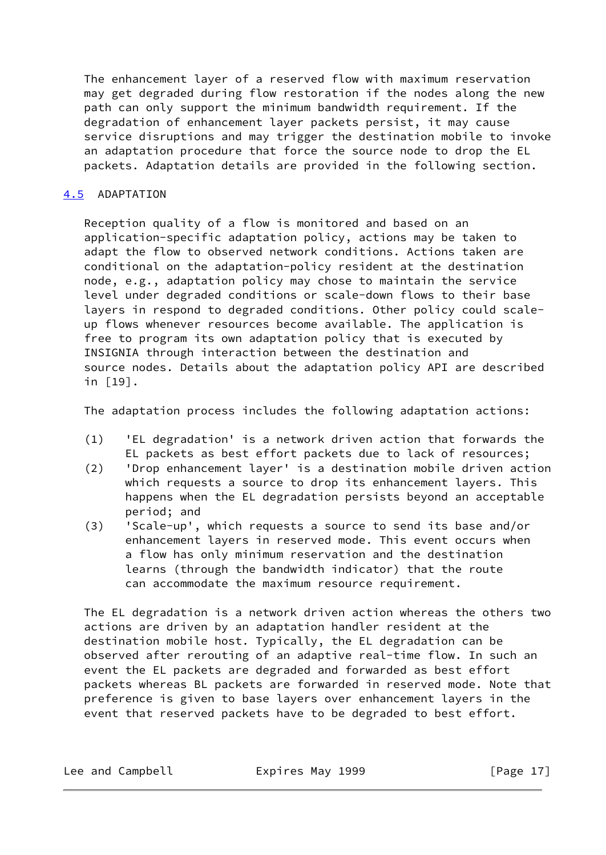The enhancement layer of a reserved flow with maximum reservation may get degraded during flow restoration if the nodes along the new path can only support the minimum bandwidth requirement. If the degradation of enhancement layer packets persist, it may cause service disruptions and may trigger the destination mobile to invoke an adaptation procedure that force the source node to drop the EL packets. Adaptation details are provided in the following section.

# <span id="page-19-0"></span>[4.5](#page-19-0) ADAPTATION

 Reception quality of a flow is monitored and based on an application-specific adaptation policy, actions may be taken to adapt the flow to observed network conditions. Actions taken are conditional on the adaptation-policy resident at the destination node, e.g., adaptation policy may chose to maintain the service level under degraded conditions or scale-down flows to their base layers in respond to degraded conditions. Other policy could scale up flows whenever resources become available. The application is free to program its own adaptation policy that is executed by INSIGNIA through interaction between the destination and source nodes. Details about the adaptation policy API are described in [19].

The adaptation process includes the following adaptation actions:

- (1) 'EL degradation' is a network driven action that forwards the EL packets as best effort packets due to lack of resources;
- (2) 'Drop enhancement layer' is a destination mobile driven action which requests a source to drop its enhancement layers. This happens when the EL degradation persists beyond an acceptable period; and
- (3) 'Scale-up', which requests a source to send its base and/or enhancement layers in reserved mode. This event occurs when a flow has only minimum reservation and the destination learns (through the bandwidth indicator) that the route can accommodate the maximum resource requirement.

 The EL degradation is a network driven action whereas the others two actions are driven by an adaptation handler resident at the destination mobile host. Typically, the EL degradation can be observed after rerouting of an adaptive real-time flow. In such an event the EL packets are degraded and forwarded as best effort packets whereas BL packets are forwarded in reserved mode. Note that preference is given to base layers over enhancement layers in the event that reserved packets have to be degraded to best effort.

Lee and Campbell **Expires May 1999** [Page 17]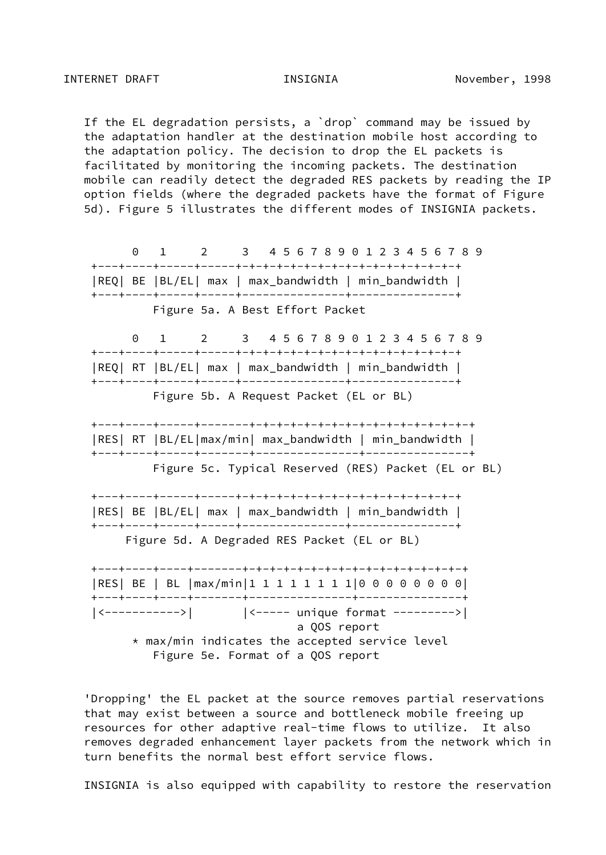If the EL degradation persists, a `drop` command may be issued by the adaptation handler at the destination mobile host according to the adaptation policy. The decision to drop the EL packets is facilitated by monitoring the incoming packets. The destination mobile can readily detect the degraded RES packets by reading the IP option fields (where the degraded packets have the format of Figure 5d). Figure 5 illustrates the different modes of INSIGNIA packets.

 0 1 2 3 4 5 6 7 8 9 0 1 2 3 4 5 6 7 8 9 +---+----+-----+-----+-+-+-+-+-+-+-+-+-+-+-+-+-+-+-+-+ |REQ| BE |BL/EL| max | max\_bandwidth | min\_bandwidth | +---+----+-----+-----+---------------+---------------+ Figure 5a. A Best Effort Packet 0 1 2 3 4 5 6 7 8 9 0 1 2 3 4 5 6 7 8 9 +---+----+-----+-----+-+-+-+-+-+-+-+-+-+-+-+-+-+-+-+-+ |REQ| RT |BL/EL| max | max\_bandwidth | min\_bandwidth | +---+----+-----+-----+---------------+---------------+ Figure 5b. A Request Packet (EL or BL) +---+----+-----+-------+-+-+-+-+-+-+-+-+-+-+-+-+-+-+-+-+ |RES| RT |BL/EL|max/min| max\_bandwidth | min\_bandwidth | +---+----+-----+-------+---------------+---------------+ Figure 5c. Typical Reserved (RES) Packet (EL or BL) +---+----+-----+-----+-+-+-+-+-+-+-+-+-+-+-+-+-+-+-+-+ |RES| BE |BL/EL| max | max\_bandwidth | min\_bandwidth | +---+----+-----+-----+---------------+---------------+ Figure 5d. A Degraded RES Packet (EL or BL) +---+----+----+-------+-+-+-+-+-+-+-+-+-+-+-+-+-+-+-+-+ |RES| BE | BL |max/min|1 1 1 1 1 1 1 1|0 0 0 0 0 0 0 0| +---+----+----+-------+---------------+---------------+ |<----------->| |<----- unique format --------->| a QOS report  $*$  max/min indicates the accepted service level Figure 5e. Format of a QOS report

 'Dropping' the EL packet at the source removes partial reservations that may exist between a source and bottleneck mobile freeing up resources for other adaptive real-time flows to utilize. It also removes degraded enhancement layer packets from the network which in turn benefits the normal best effort service flows.

INSIGNIA is also equipped with capability to restore the reservation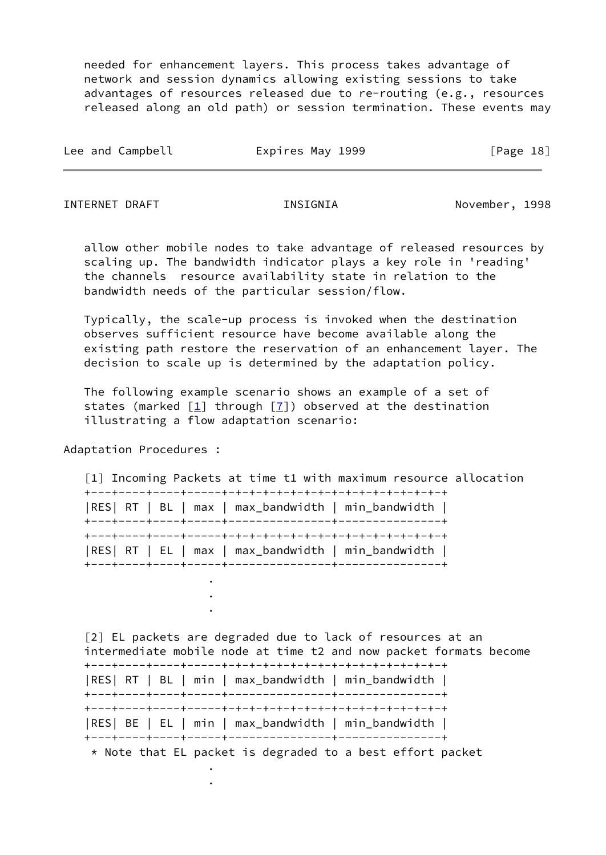needed for enhancement layers. This process takes advantage of network and session dynamics allowing existing sessions to take advantages of resources released due to re-routing (e.g., resources released along an old path) or session termination. These events may

| Lee and Campbell | Expires May 1999 | [Page 18] |  |
|------------------|------------------|-----------|--|
|                  |                  |           |  |

INTERNET DRAFT INSIGNIA November, 1998

 allow other mobile nodes to take advantage of released resources by scaling up. The bandwidth indicator plays a key role in 'reading' the channels resource availability state in relation to the bandwidth needs of the particular session/flow.

 Typically, the scale-up process is invoked when the destination observes sufficient resource have become available along the existing path restore the reservation of an enhancement layer. The decision to scale up is determined by the adaptation policy.

 The following example scenario shows an example of a set of states (marked  $\boxed{1}$  through  $\boxed{7}$ ) observed at the destination illustrating a flow adaptation scenario:

Adaptation Procedures :

 . .

 . .

<span id="page-21-1"></span> [1] Incoming Packets at time t1 with maximum resource allocation +---+----+----+-----+-+-+-+-+-+-+-+-+-+-+-+-+-+-+-+-+ |RES| RT | BL | max | max\_bandwidth | min\_bandwidth | +---+----+----+-----+---------------+---------------+ +---+----+----+-----+-+-+-+-+-+-+-+-+-+-+-+-+-+-+-+-+ |RES| RT | EL | max | max\_bandwidth | min\_bandwidth | +---+----+----+-----+---------------+---------------+ .

<span id="page-21-0"></span> [2] EL packets are degraded due to lack of resources at an intermediate mobile node at time t2 and now packet formats become +---+----+----+-----+-+-+-+-+-+-+-+-+-+-+-+-+-+-+-+-+ |RES| RT | BL | min | max\_bandwidth | min\_bandwidth | +---+----+----+-----+---------------+---------------+ +---+----+----+-----+-+-+-+-+-+-+-+-+-+-+-+-+-+-+-+-+ |RES| BE | EL | min | max\_bandwidth | min\_bandwidth | +---+----+----+-----+---------------+---------------+

\* Note that EL packet is degraded to a best effort packet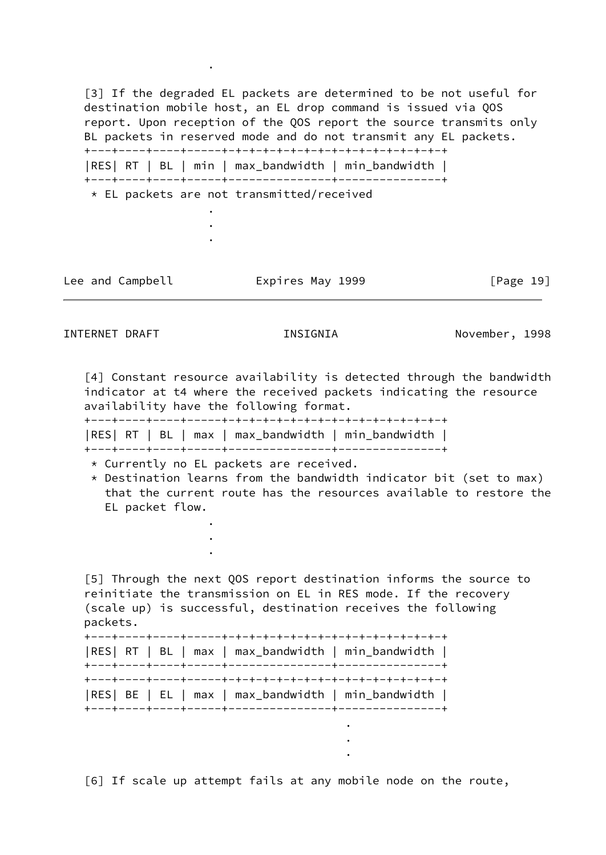<span id="page-22-2"></span>[3] If the degraded EL packets are determined to be not useful for destination mobile host, an EL drop command is issued via QOS report. Upon reception of the QOS report the source transmits only BL packets in reserved mode and do not transmit any EL packets. +---+----+----+-----+-+-+-+-+-+-+-+-+-+-+-+-+-+-+-+-+ |RES| RT | BL | min | max\_bandwidth | min\_bandwidth | +---+----+----+-----+---------------+---------------+ \* EL packets are not transmitted/received . .

Lee and Campbell **Expires May 1999** [Page 19]

.

 . . .

.

INTERNET DRAFT INSIGNIA November, 1998

<span id="page-22-3"></span>[4] Constant resource availability is detected through the bandwidth indicator at t4 where the received packets indicating the resource availability have the following format.

+---+----+----+-----+-+-+-+-+-+-+-+-+-+-+-+-+-+-+-+-+

|RES| RT | BL | max | max\_bandwidth | min\_bandwidth |

+---+----+----+-----+---------------+---------------+

- \* Currently no EL packets are received.
- $*$  Destination learns from the bandwidth indicator bit (set to max) that the current route has the resources available to restore the EL packet flow.

<span id="page-22-0"></span> [5] Through the next QOS report destination informs the source to reinitiate the transmission on EL in RES mode. If the recovery (scale up) is successful, destination receives the following packets. +---+----+----+-----+-+-+-+-+-+-+-+-+-+-+-+-+-+-+-+-+ |RES| RT | BL | max | max\_bandwidth | min\_bandwidth | +---+----+----+-----+---------------+---------------+ +---+----+----+-----+-+-+-+-+-+-+-+-+-+-+-+-+-+-+-+-+ |RES| BE | EL | max | max\_bandwidth | min\_bandwidth |

<span id="page-22-1"></span>[6] If scale up attempt fails at any mobile node on the route,

+---+----+----+-----+---------------+---------------+

<u>. A contract the contract of the contract of the contract of the contract of the contract of the contract of the contract of the contract of the contract of the contract of the contract of the contract of the contract of </u> <u>. Andre van die Stadt van die Stadt van die Stadt van die Stadt van die Stadt van die Stadt van die Stadt van </u> <u>. A contract the contract of the contract of the contract of the contract of the contract of the contract of the contract of the contract of the contract of the contract of the contract of the contract of the contract of </u>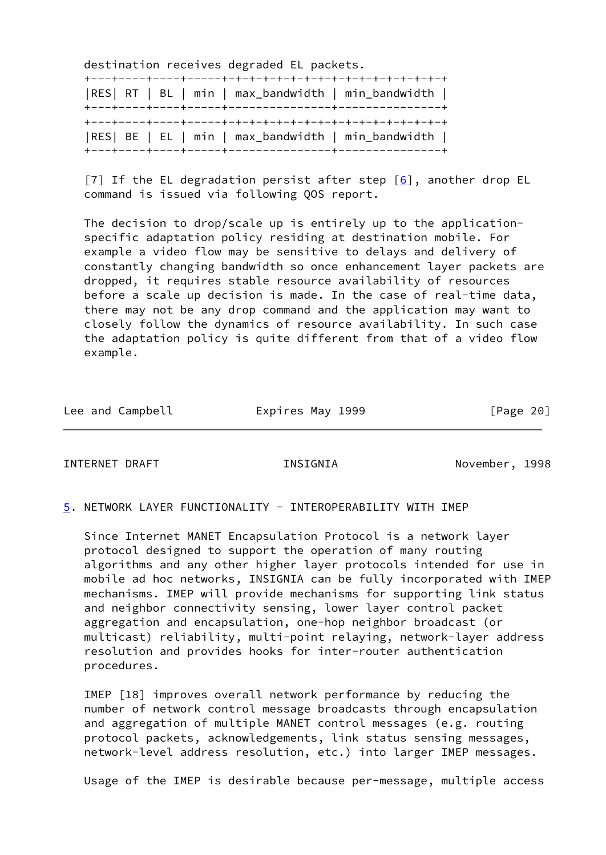destination receives degraded EL packets.

|  |  | RES  RT   BL   min   max_bandwidth   min_bandwidth |
|--|--|----------------------------------------------------|
|  |  | RES  BE   EL   min   max_bandwidth   min_bandwidth |

<span id="page-23-2"></span>[7] If the EL degradation persist after step  $[6]$ , another drop EL command is issued via following QOS report.

 The decision to drop/scale up is entirely up to the application specific adaptation policy residing at destination mobile. For example a video flow may be sensitive to delays and delivery of constantly changing bandwidth so once enhancement layer packets are dropped, it requires stable resource availability of resources before a scale up decision is made. In the case of real-time data, there may not be any drop command and the application may want to closely follow the dynamics of resource availability. In such case the adaptation policy is quite different from that of a video flow example.

|  | Lee and Campbell | Expires May 1999 | [Page 20] |
|--|------------------|------------------|-----------|
|--|------------------|------------------|-----------|

<span id="page-23-1"></span>INTERNET DRAFT INSIGNIA November, 1998

#### <span id="page-23-0"></span>[5](#page-23-0). NETWORK LAYER FUNCTIONALITY - INTEROPERABILITY WITH IMEP

 Since Internet MANET Encapsulation Protocol is a network layer protocol designed to support the operation of many routing algorithms and any other higher layer protocols intended for use in mobile ad hoc networks, INSIGNIA can be fully incorporated with IMEP mechanisms. IMEP will provide mechanisms for supporting link status and neighbor connectivity sensing, lower layer control packet aggregation and encapsulation, one-hop neighbor broadcast (or multicast) reliability, multi-point relaying, network-layer address resolution and provides hooks for inter-router authentication procedures.

 IMEP [18] improves overall network performance by reducing the number of network control message broadcasts through encapsulation and aggregation of multiple MANET control messages (e.g. routing protocol packets, acknowledgements, link status sensing messages, network-level address resolution, etc.) into larger IMEP messages.

Usage of the IMEP is desirable because per-message, multiple access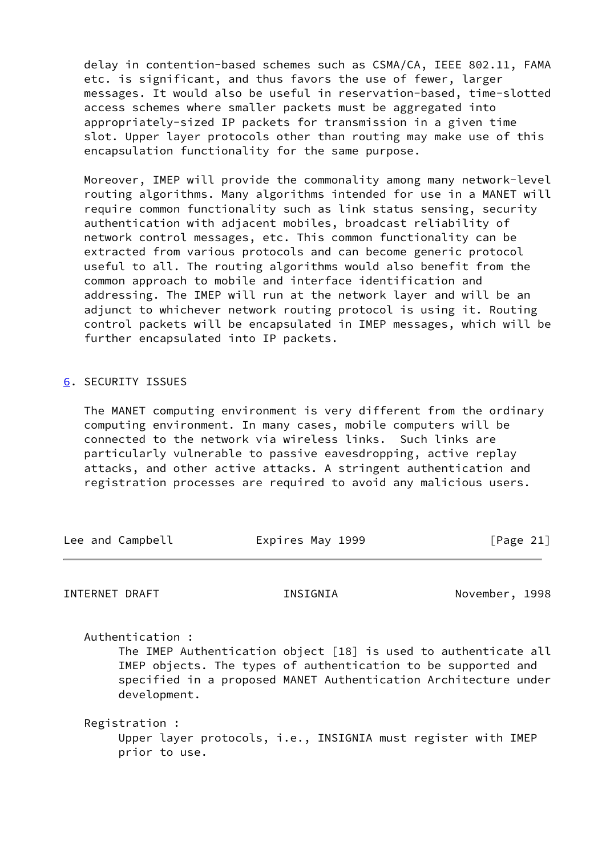delay in contention-based schemes such as CSMA/CA, IEEE 802.11, FAMA etc. is significant, and thus favors the use of fewer, larger messages. It would also be useful in reservation-based, time-slotted access schemes where smaller packets must be aggregated into appropriately-sized IP packets for transmission in a given time slot. Upper layer protocols other than routing may make use of this encapsulation functionality for the same purpose.

 Moreover, IMEP will provide the commonality among many network-level routing algorithms. Many algorithms intended for use in a MANET will require common functionality such as link status sensing, security authentication with adjacent mobiles, broadcast reliability of network control messages, etc. This common functionality can be extracted from various protocols and can become generic protocol useful to all. The routing algorithms would also benefit from the common approach to mobile and interface identification and addressing. The IMEP will run at the network layer and will be an adjunct to whichever network routing protocol is using it. Routing control packets will be encapsulated in IMEP messages, which will be further encapsulated into IP packets.

# <span id="page-24-0"></span>[6](#page-24-0). SECURITY ISSUES

 The MANET computing environment is very different from the ordinary computing environment. In many cases, mobile computers will be connected to the network via wireless links. Such links are particularly vulnerable to passive eavesdropping, active replay attacks, and other active attacks. A stringent authentication and registration processes are required to avoid any malicious users.

<span id="page-24-1"></span>

| Lee and Campbell |                                 | Expires May 1999                                                                                                                                                                                    | [Page $21$ ]   |
|------------------|---------------------------------|-----------------------------------------------------------------------------------------------------------------------------------------------------------------------------------------------------|----------------|
| INTERNET DRAFT   |                                 | INSIGNIA                                                                                                                                                                                            | November, 1998 |
|                  | Authentication:<br>development. | The IMEP Authentication object [18] is used to authenticate all<br>IMEP objects. The types of authentication to be supported and<br>specified in a proposed MANET Authentication Architecture under |                |

 Registration : Upper layer protocols, i.e., INSIGNIA must register with IMEP prior to use.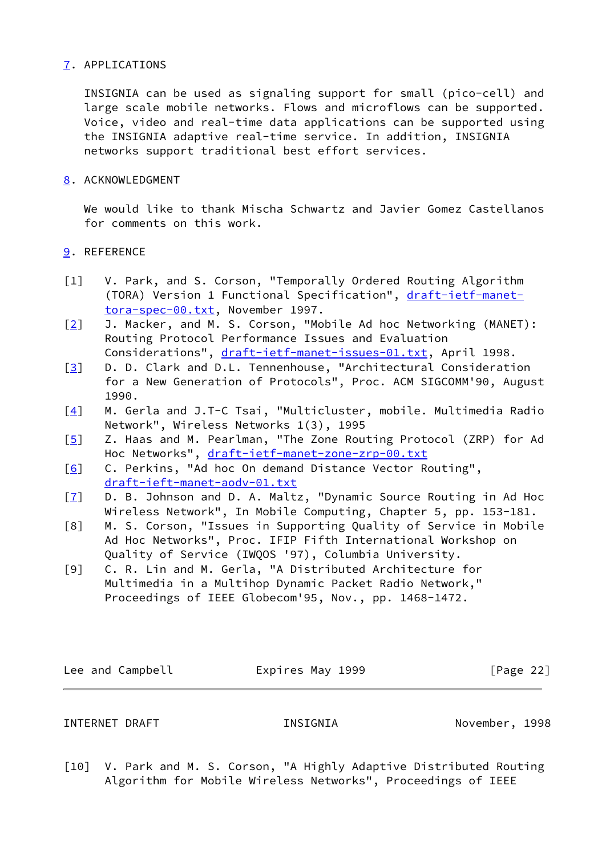# <span id="page-25-0"></span>[7](#page-25-0). APPLICATIONS

 INSIGNIA can be used as signaling support for small (pico-cell) and large scale mobile networks. Flows and microflows can be supported. Voice, video and real-time data applications can be supported using the INSIGNIA adaptive real-time service. In addition, INSIGNIA networks support traditional best effort services.

# <span id="page-25-1"></span>[8](#page-25-1). ACKNOWLEDGMENT

 We would like to thank Mischa Schwartz and Javier Gomez Castellanos for comments on this work.

# <span id="page-25-2"></span>[9](#page-25-2). REFERENCE

- [1] V. Park, and S. Corson, "Temporally Ordered Routing Algorithm (TORA) Version 1 Functional Specification", [draft-ietf-manet](https://datatracker.ietf.org/doc/pdf/draft-ietf-manet-tora-spec-00.txt) [tora-spec-00.txt,](https://datatracker.ietf.org/doc/pdf/draft-ietf-manet-tora-spec-00.txt) November 1997.
- [\[2\]](#page-21-0) J. Macker, and M. S. Corson, "Mobile Ad hoc Networking (MANET): Routing Protocol Performance Issues and Evaluation Considerations", [draft-ietf-manet-issues-01.txt](https://datatracker.ietf.org/doc/pdf/draft-ietf-manet-issues-01.txt), April 1998.
- [\[3\]](#page-22-2) D. D. Clark and D.L. Tennenhouse, "Architectural Consideration
- for a New Generation of Protocols", Proc. ACM SIGCOMM'90, August 1990.
- [\[4\]](#page-22-3) M. Gerla and J.T-C Tsai, "Multicluster, mobile. Multimedia Radio Network", Wireless Networks 1(3), 1995
- [\[5\]](#page-22-0) Z. Haas and M. Pearlman, "The Zone Routing Protocol (ZRP) for Ad Hoc Networks", [draft-ietf-manet-zone-zrp-00.txt](https://datatracker.ietf.org/doc/pdf/draft-ietf-manet-zone-zrp-00.txt)
- [\[6\]](#page-22-1) C. Perkins, "Ad hoc On demand Distance Vector Routing", [draft-ieft-manet-aodv-01.txt](https://datatracker.ietf.org/doc/pdf/draft-ieft-manet-aodv-01.txt)
- [\[7\]](#page-23-2) D. B. Johnson and D. A. Maltz, "Dynamic Source Routing in Ad Hoc Wireless Network", In Mobile Computing, Chapter 5, pp. 153-181.
- [8] M. S. Corson, "Issues in Supporting Quality of Service in Mobile Ad Hoc Networks", Proc. IFIP Fifth International Workshop on Quality of Service (IWQOS '97), Columbia University.
- [9] C. R. Lin and M. Gerla, "A Distributed Architecture for Multimedia in a Multihop Dynamic Packet Radio Network," Proceedings of IEEE Globecom'95, Nov., pp. 1468-1472.

Lee and Campbell **Expires May 1999** [Page 22]

# INTERNET DRAFT THE INSIGNIA November, 1998

[10] V. Park and M. S. Corson, "A Highly Adaptive Distributed Routing Algorithm for Mobile Wireless Networks", Proceedings of IEEE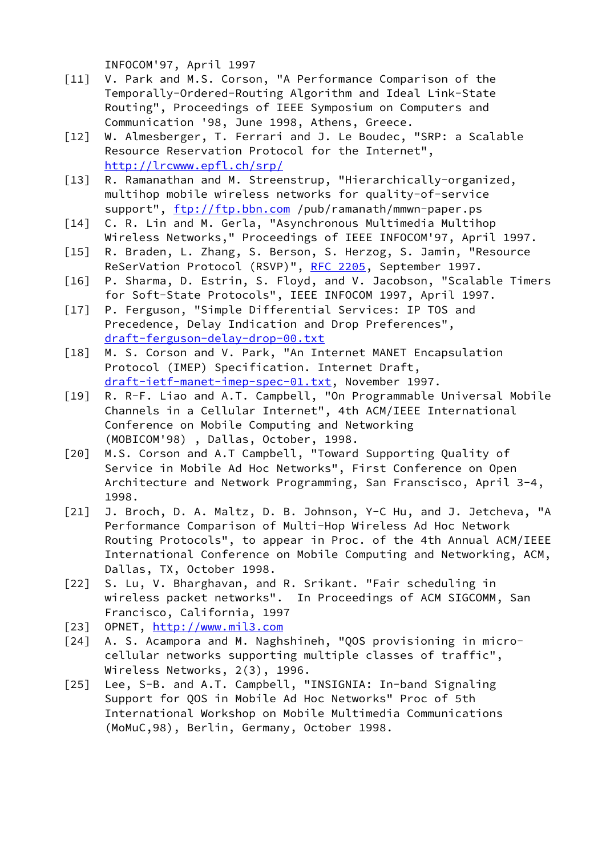INFOCOM'97, April 1997

- [11] V. Park and M.S. Corson, "A Performance Comparison of the Temporally-Ordered-Routing Algorithm and Ideal Link-State Routing", Proceedings of IEEE Symposium on Computers and Communication '98, June 1998, Athens, Greece.
- [12] W. Almesberger, T. Ferrari and J. Le Boudec, "SRP: a Scalable Resource Reservation Protocol for the Internet", <http://lrcwww.epfl.ch/srp/>
- [13] R. Ramanathan and M. Streenstrup, "Hierarchically-organized, multihop mobile wireless networks for quality-of-service support",<ftp://ftp.bbn.com> /pub/ramanath/mmwn-paper.ps
- [14] C. R. Lin and M. Gerla, "Asynchronous Multimedia Multihop Wireless Networks," Proceedings of IEEE INFOCOM'97, April 1997.
- [15] R. Braden, L. Zhang, S. Berson, S. Herzog, S. Jamin, "Resource ReSerVation Protocol (RSVP)", [RFC 2205](https://datatracker.ietf.org/doc/pdf/rfc2205), September 1997.
- [16] P. Sharma, D. Estrin, S. Floyd, and V. Jacobson, "Scalable Timers for Soft-State Protocols", IEEE INFOCOM 1997, April 1997.
- [17] P. Ferguson, "Simple Differential Services: IP TOS and Precedence, Delay Indication and Drop Preferences", [draft-ferguson-delay-drop-00.txt](https://datatracker.ietf.org/doc/pdf/draft-ferguson-delay-drop-00.txt)
- [18] M. S. Corson and V. Park, "An Internet MANET Encapsulation Protocol (IMEP) Specification. Internet Draft, [draft-ietf-manet-imep-spec-01.txt,](https://datatracker.ietf.org/doc/pdf/draft-ietf-manet-imep-spec-01.txt) November 1997.
- [19] R. R-F. Liao and A.T. Campbell, "On Programmable Universal Mobile Channels in a Cellular Internet", 4th ACM/IEEE International Conference on Mobile Computing and Networking (MOBICOM'98) , Dallas, October, 1998.
- [20] M.S. Corson and A.T Campbell, "Toward Supporting Quality of Service in Mobile Ad Hoc Networks", First Conference on Open Architecture and Network Programming, San Franscisco, April 3-4, 1998.
- [21] J. Broch, D. A. Maltz, D. B. Johnson, Y-C Hu, and J. Jetcheva, "A Performance Comparison of Multi-Hop Wireless Ad Hoc Network Routing Protocols", to appear in Proc. of the 4th Annual ACM/IEEE International Conference on Mobile Computing and Networking, ACM, Dallas, TX, October 1998.
- [22] S. Lu, V. Bharghavan, and R. Srikant. "Fair scheduling in wireless packet networks". In Proceedings of ACM SIGCOMM, San Francisco, California, 1997
- [23] OPNET,<http://www.mil3.com>
- [24] A. S. Acampora and M. Naghshineh, "QOS provisioning in micro cellular networks supporting multiple classes of traffic", Wireless Networks, 2(3), 1996.
- [25] Lee, S-B. and A.T. Campbell, "INSIGNIA: In-band Signaling Support for QOS in Mobile Ad Hoc Networks" Proc of 5th International Workshop on Mobile Multimedia Communications (MoMuC,98), Berlin, Germany, October 1998.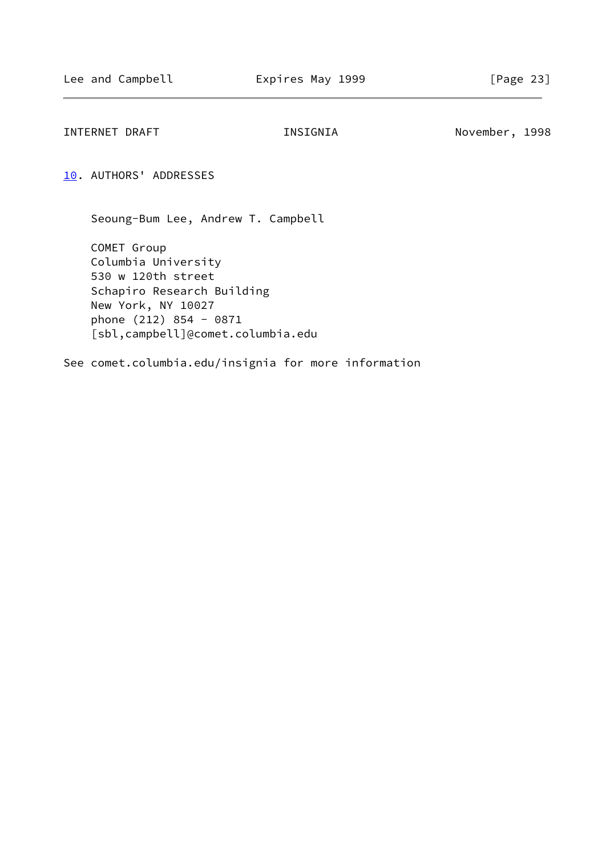<span id="page-27-1"></span>INTERNET DRAFT THE INSIGNIA November, 1998

<span id="page-27-0"></span>[10.](#page-27-0) AUTHORS' ADDRESSES

Seoung-Bum Lee, Andrew T. Campbell

 COMET Group Columbia University 530 w 120th street Schapiro Research Building New York, NY 10027 phone (212) 854 - 0871 [sbl,campbell]@comet.columbia.edu

See comet.columbia.edu/insignia for more information